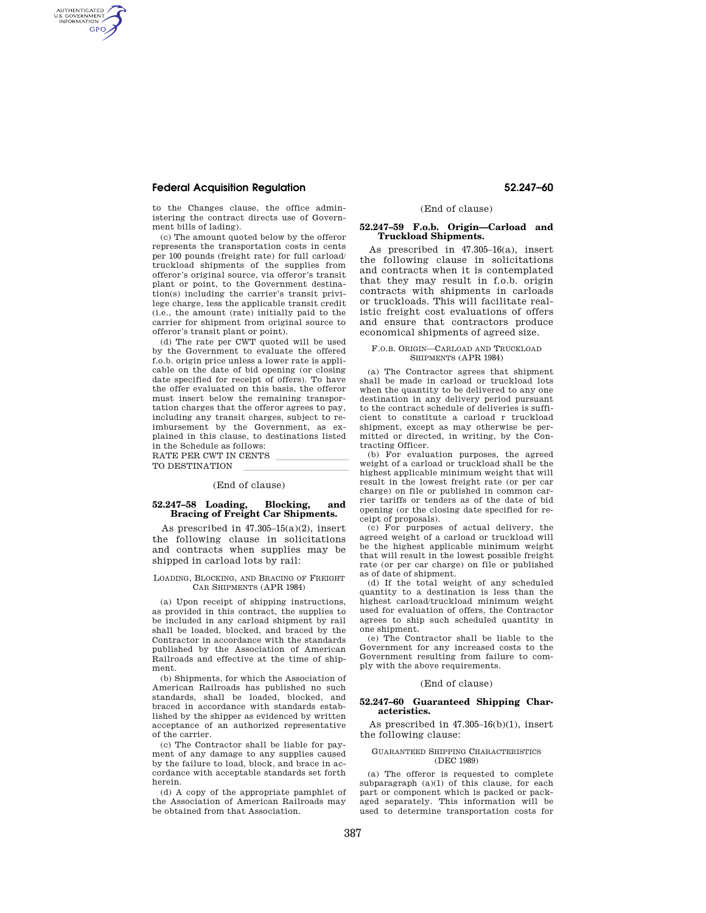# **Federal Acquisition Regulation 52.247–60**

AUTHENTICATED<br>U.S. GOVERNMENT<br>INFORMATION **GPO** 

> to the Changes clause, the office administering the contract directs use of Government bills of lading).

(c) The amount quoted below by the offeror represents the transportation costs in cents per 100 pounds (freight rate) for full carload/ truckload shipments of the supplies from offeror's original source, via offeror's transit plant or point, to the Government destination(s) including the carrier's transit privilege charge, less the applicable transit credit (i.e., the amount (rate) initially paid to the carrier for shipment from original source to offeror's transit plant or point).

(d) The rate per CWT quoted will be used by the Government to evaluate the offered f.o.b. origin price unless a lower rate is applicable on the date of bid opening (or closing date specified for receipt of offers). To have the offer evaluated on this basis, the offeror must insert below the remaining transportation charges that the offeror agrees to pay, including any transit charges, subject to reimbursement by the Government, as explained in this clause, to destinations listed in the Schedule as follows:

RATE PER CWT IN CENTS

# TO DESTINATION

### (End of clause)

### **52.247–58 Loading, Blocking, and Bracing of Freight Car Shipments.**

As prescribed in  $47.305-15(a)(2)$ , insert the following clause in solicitations and contracts when supplies may be shipped in carload lots by rail:

## LOADING, BLOCKING, AND BRACING OF FREIGHT CAR SHIPMENTS (APR 1984)

(a) Upon receipt of shipping instructions, as provided in this contract, the supplies to be included in any carload shipment by rail shall be loaded, blocked, and braced by the Contractor in accordance with the standards published by the Association of American Railroads and effective at the time of shipment.

(b) Shipments, for which the Association of American Railroads has published no such standards, shall be loaded, blocked, and braced in accordance with standards established by the shipper as evidenced by written acceptance of an authorized representative of the carrier.

(c) The Contractor shall be liable for payment of any damage to any supplies caused by the failure to load, block, and brace in accordance with acceptable standards set forth herein.

(d) A copy of the appropriate pamphlet of the Association of American Railroads may be obtained from that Association.

#### (End of clause)

## **52.247–59 F.o.b. Origin—Carload and Truckload Shipments.**

As prescribed in 47.305–16(a), insert the following clause in solicitations and contracts when it is contemplated that they may result in f.o.b. origin contracts with shipments in carloads or truckloads. This will facilitate realistic freight cost evaluations of offers and ensure that contractors produce economical shipments of agreed size.

#### F.O.B. ORIGIN—CARLOAD AND TRUCKLOAD SHIPMENTS (APR 1984)

(a) The Contractor agrees that shipment shall be made in carload or truckload lots when the quantity to be delivered to any one destination in any delivery period pursuant to the contract schedule of deliveries is sufficient to constitute a carload r truckload shipment, except as may otherwise be permitted or directed, in writing, by the Contracting Officer.

(b) For evaluation purposes, the agreed weight of a carload or truckload shall be the highest applicable minimum weight that will result in the lowest freight rate (or per car charge) on file or published in common carrier tariffs or tenders as of the date of bid opening (or the closing date specified for receipt of proposals).

(c) For purposes of actual delivery, the agreed weight of a carload or truckload will be the highest applicable minimum weight that will result in the lowest possible freight rate (or per car charge) on file or published as of date of shipment.

(d) If the total weight of any scheduled quantity to a destination is less than the highest carload/truckload minimum weight used for evaluation of offers, the Contractor agrees to ship such scheduled quantity in one shipment.

(e) The Contractor shall be liable to the Government for any increased costs to the Government resulting from failure to comply with the above requirements.

## (End of clause)

## **52.247–60 Guaranteed Shipping Characteristics.**

As prescribed in  $47.305-16(b)(1)$ , insert the following clause:

### GUARANTEED SHIPPING CHARACTERISTICS (DEC 1989)

(a) The offeror is requested to complete subparagraph (a)(1) of this clause, for each part or component which is packed or packaged separately. This information will be used to determine transportation costs for